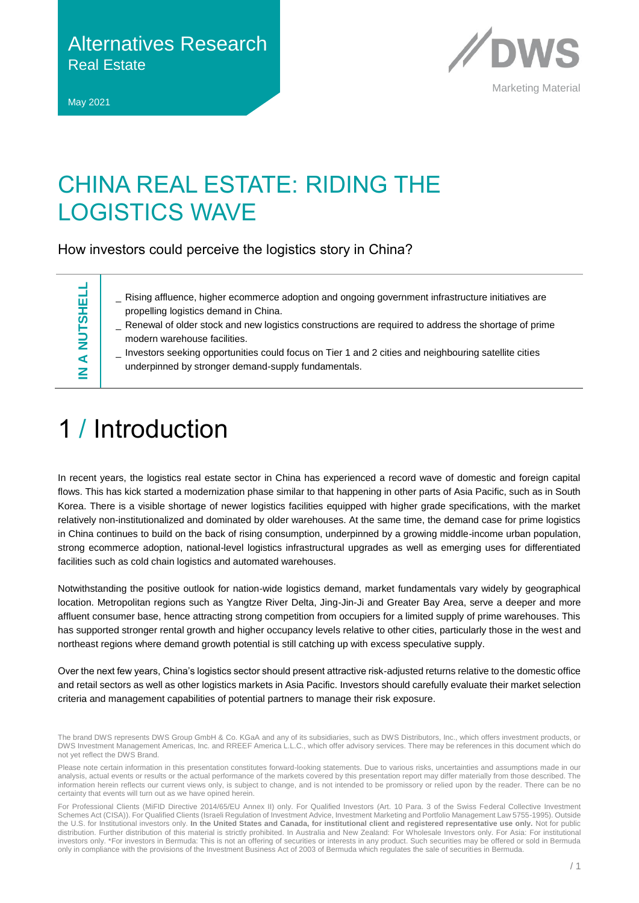Alternatives Research Real Estate

May 2021



Marketing Material

### CHINA REAL ESTATE: RIDING THE LOGISTICS WAVE

How investors could perceive the logistics story in China?

**IN A NUTSHELL A NUTSHELI** z

- Rising affluence, higher ecommerce adoption and ongoing government infrastructure initiatives are propelling logistics demand in China.
- Renewal of older stock and new logistics constructions are required to address the shortage of prime modern warehouse facilities.
- \_ Investors seeking opportunities could focus on Tier 1 and 2 cities and neighbouring satellite cities underpinned by stronger demand-supply fundamentals.

# 1 / Introduction

In recent years, the logistics real estate sector in China has experienced a record wave of domestic and foreign capital flows. This has kick started a modernization phase similar to that happening in other parts of Asia Pacific, such as in South Korea. There is a visible shortage of newer logistics facilities equipped with higher grade specifications, with the market relatively non-institutionalized and dominated by older warehouses. At the same time, the demand case for prime logistics in China continues to build on the back of rising consumption, underpinned by a growing middle-income urban population, strong ecommerce adoption, national-level logistics infrastructural upgrades as well as emerging uses for differentiated facilities such as cold chain logistics and automated warehouses.

Notwithstanding the positive outlook for nation-wide logistics demand, market fundamentals vary widely by geographical location. Metropolitan regions such as Yangtze River Delta, Jing-Jin-Ji and Greater Bay Area, serve a deeper and more affluent consumer base, hence attracting strong competition from occupiers for a limited supply of prime warehouses. This has supported stronger rental growth and higher occupancy levels relative to other cities, particularly those in the west and northeast regions where demand growth potential is still catching up with excess speculative supply.

Over the next few years, China's logistics sector should present attractive risk-adjusted returns relative to the domestic office and retail sectors as well as other logistics markets in Asia Pacific. Investors should carefully evaluate their market selection criteria and management capabilities of potential partners to manage their risk exposure.

The brand DWS represents DWS Group GmbH & Co. KGaA and any of its subsidiaries, such as DWS Distributors, Inc., which offers investment products, or DWS Investment Management Americas, Inc. and RREEF America L.L.C., which offer advisory services. There may be references in this document which do not yet reflect the DWS Brand.

Please note certain information in this presentation constitutes forward-looking statements. Due to various risks, uncertainties and assumptions made in our analysis, actual events or results or the actual performance of the markets covered by this presentation report may differ materially from those described. The information herein reflects our current views only, is subject to change, and is not intended to be promissory or relied upon by the reader. There can be no certainty that events will turn out as we have opined herein.

For Professional Clients (MiFID Directive 2014/65/EU Annex II) only. For Qualified Investors (Art. 10 Para. 3 of the Swiss Federal Collective Investment Schemes Act (CISA)). For Qualified Clients (Israeli Regulation of Investment Advice, Investment Marketing and Portfolio Management Law 5755-1995). Outside the U.S. for Institutional investors only. **In the United States and Canada, for institutional client and registered representative use only.** Not for public distribution. Further distribution of this material is strictly prohibited. In Australia and New Zealand: For Wholesale Investors only. For Asia: For institutional investors only. \*For investors in Bermuda: This is not an offering of securities or interests in any product. Such securities may be offered or sold in Bermuda only in compliance with the provisions of the Investment Business Act of 2003 of Bermuda which regulates the sale of securities in Bermuda.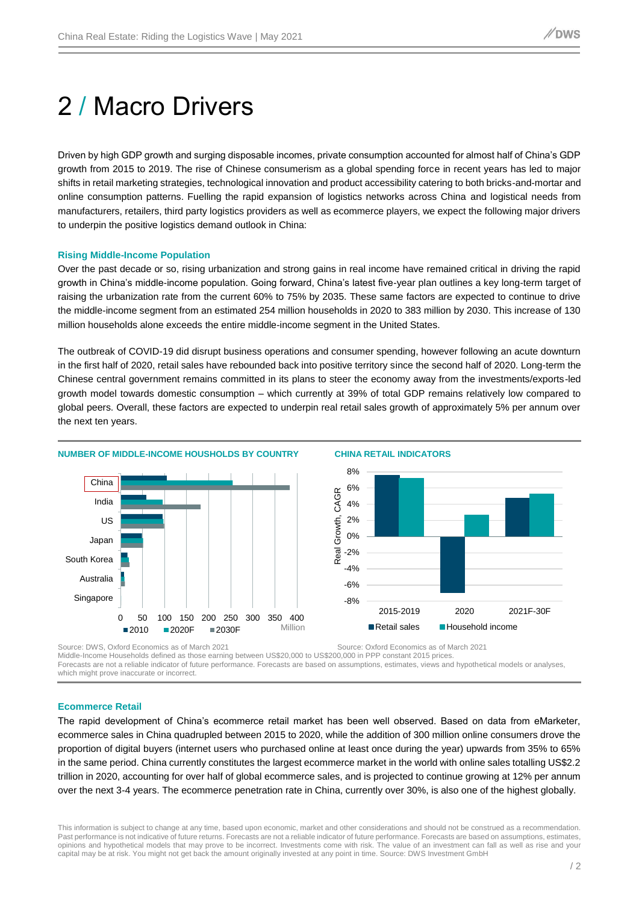# 2 / Macro Drivers

Driven by high GDP growth and surging disposable incomes, private consumption accounted for almost half of China's GDP growth from 2015 to 2019. The rise of Chinese consumerism as a global spending force in recent years has led to major shifts in retail marketing strategies, technological innovation and product accessibility catering to both bricks-and-mortar and online consumption patterns. Fuelling the rapid expansion of logistics networks across China and logistical needs from manufacturers, retailers, third party logistics providers as well as ecommerce players, we expect the following major drivers to underpin the positive logistics demand outlook in China:

#### **Rising Middle-Income Population**

Over the past decade or so, rising urbanization and strong gains in real income have remained critical in driving the rapid growth in China's middle-income population. Going forward, China's latest five-year plan outlines a key long-term target of raising the urbanization rate from the current 60% to 75% by 2035. These same factors are expected to continue to drive the middle-income segment from an estimated 254 million households in 2020 to 383 million by 2030. This increase of 130 million households alone exceeds the entire middle-income segment in the United States.

The outbreak of COVID-19 did disrupt business operations and consumer spending, however following an acute downturn in the first half of 2020, retail sales have rebounded back into positive territory since the second half of 2020. Long-term the Chinese central government remains committed in its plans to steer the economy away from the investments/exports-led growth model towards domestic consumption – which currently at 39% of total GDP remains relatively low compared to global peers. Overall, these factors are expected to underpin real retail sales growth of approximately 5% per annum over the next ten years.



Source: DWS, Oxford Economics as of March 2021 Source: Oxford Economics as of March 2021

Middle-Income Households defined as those earning between US\$20,000 to US\$200,000 in PPP constant 2015 prices. Forecasts are not a reliable indicator of future performance. Forecasts are based on assumptions, estimates, views and hypothetical models or analyses, which might prove inaccurate or incorrect.

#### **Ecommerce Retail**

The rapid development of China's ecommerce retail market has been well observed. Based on data from eMarketer, ecommerce sales in China quadrupled between 2015 to 2020, while the addition of 300 million online consumers drove the proportion of digital buyers (internet users who purchased online at least once during the year) upwards from 35% to 65% in the same period. China currently constitutes the largest ecommerce market in the world with online sales totalling US\$2.2 trillion in 2020, accounting for over half of global ecommerce sales, and is projected to continue growing at 12% per annum over the next 3-4 years. The ecommerce penetration rate in China, currently over 30%, is also one of the highest globally.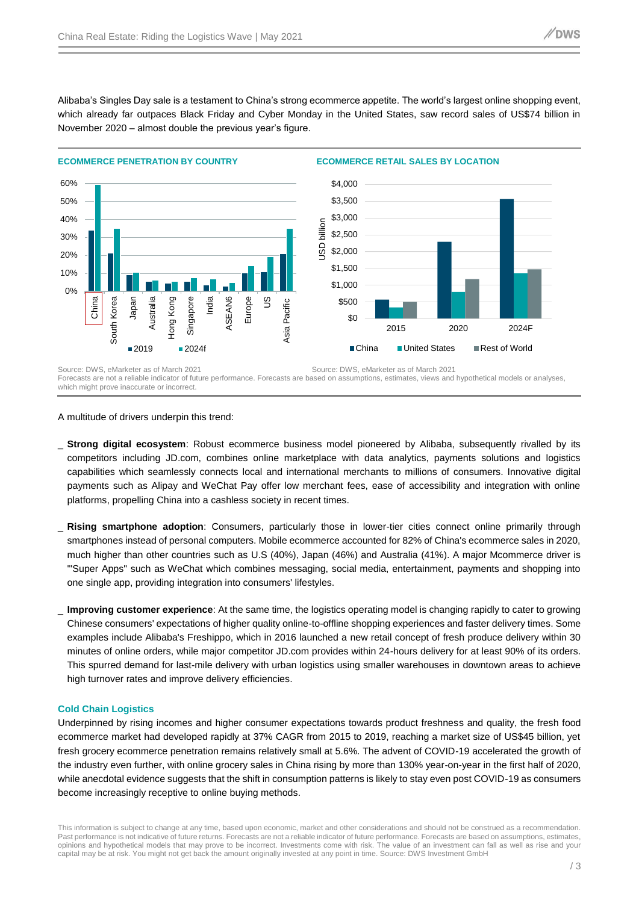Alibaba's Singles Day sale is a testament to China's strong ecommerce appetite. The world's largest online shopping event, which already far outpaces Black Friday and Cyber Monday in the United States, saw record sales of US\$74 billion in November 2020 – almost double the previous year's figure.



A multitude of drivers underpin this trend:

- \_ **Strong digital ecosystem**: Robust ecommerce business model pioneered by Alibaba, subsequently rivalled by its competitors including JD.com, combines online marketplace with data analytics, payments solutions and logistics capabilities which seamlessly connects local and international merchants to millions of consumers. Innovative digital payments such as Alipay and WeChat Pay offer low merchant fees, ease of accessibility and integration with online platforms, propelling China into a cashless society in recent times.
- \_ **Rising smartphone adoption**: Consumers, particularly those in lower-tier cities connect online primarily through smartphones instead of personal computers. Mobile ecommerce accounted for 82% of China's ecommerce sales in 2020, much higher than other countries such as U.S (40%), Japan (46%) and Australia (41%). A major Mcommerce driver is '"Super Apps" such as WeChat which combines messaging, social media, entertainment, payments and shopping into one single app, providing integration into consumers' lifestyles.
- **Improving customer experience**: At the same time, the logistics operating model is changing rapidly to cater to growing Chinese consumers' expectations of higher quality online-to-offline shopping experiences and faster delivery times. Some examples include Alibaba's Freshippo, which in 2016 launched a new retail concept of fresh produce delivery within 30 minutes of online orders, while major competitor JD.com provides within 24-hours delivery for at least 90% of its orders. This spurred demand for last-mile delivery with urban logistics using smaller warehouses in downtown areas to achieve high turnover rates and improve delivery efficiencies.

#### **Cold Chain Logistics**

Underpinned by rising incomes and higher consumer expectations towards product freshness and quality, the fresh food ecommerce market had developed rapidly at 37% CAGR from 2015 to 2019, reaching a market size of US\$45 billion, yet fresh grocery ecommerce penetration remains relatively small at 5.6%. The advent of COVID-19 accelerated the growth of the industry even further, with online grocery sales in China rising by more than 130% year-on-year in the first half of 2020, while anecdotal evidence suggests that the shift in consumption patterns is likely to stay even post COVID-19 as consumers become increasingly receptive to online buying methods.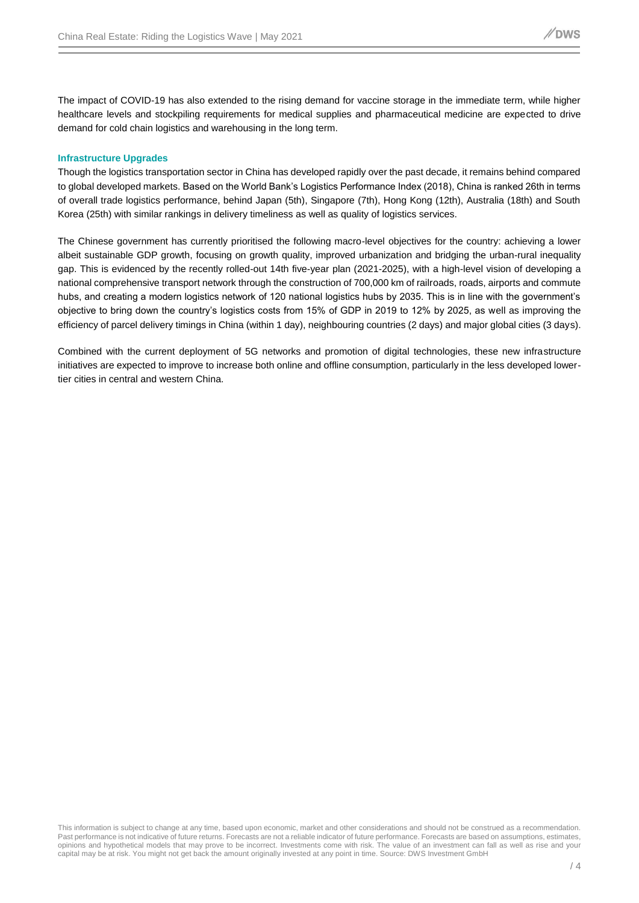The impact of COVID-19 has also extended to the rising demand for vaccine storage in the immediate term, while higher healthcare levels and stockpiling requirements for medical supplies and pharmaceutical medicine are expected to drive demand for cold chain logistics and warehousing in the long term.

### **Infrastructure Upgrades**

Though the logistics transportation sector in China has developed rapidly over the past decade, it remains behind compared to global developed markets. Based on the World Bank's Logistics Performance Index (2018), China is ranked 26th in terms of overall trade logistics performance, behind Japan (5th), Singapore (7th), Hong Kong (12th), Australia (18th) and South Korea (25th) with similar rankings in delivery timeliness as well as quality of logistics services.

The Chinese government has currently prioritised the following macro-level objectives for the country: achieving a lower albeit sustainable GDP growth, focusing on growth quality, improved urbanization and bridging the urban-rural inequality gap. This is evidenced by the recently rolled-out 14th five-year plan (2021-2025), with a high-level vision of developing a national comprehensive transport network through the construction of 700,000 km of railroads, roads, airports and commute hubs, and creating a modern logistics network of 120 national logistics hubs by 2035. This is in line with the government's objective to bring down the country's logistics costs from 15% of GDP in 2019 to 12% by 2025, as well as improving the efficiency of parcel delivery timings in China (within 1 day), neighbouring countries (2 days) and major global cities (3 days).

Combined with the current deployment of 5G networks and promotion of digital technologies, these new infrastructure initiatives are expected to improve to increase both online and offline consumption, particularly in the less developed lowertier cities in central and western China.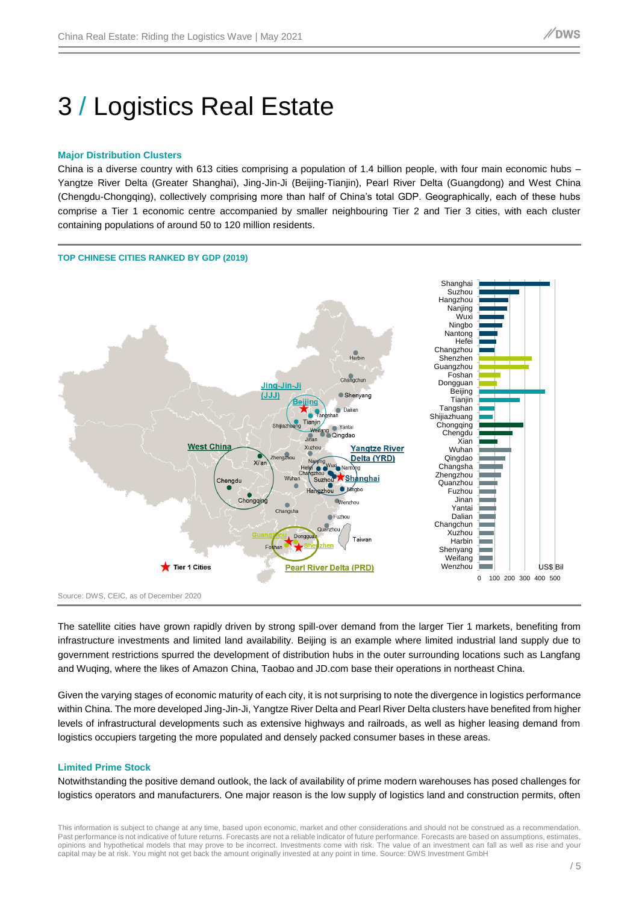# 3 / Logistics Real Estate

#### **Major Distribution Clusters**

China is a diverse country with 613 cities comprising a population of 1.4 billion people, with four main economic hubs – Yangtze River Delta (Greater Shanghai), Jing-Jin-Ji (Beijing-Tianjin), Pearl River Delta (Guangdong) and West China (Chengdu-Chongqing), collectively comprising more than half of China's total GDP. Geographically, each of these hubs comprise a Tier 1 economic centre accompanied by smaller neighbouring Tier 2 and Tier 3 cities, with each cluster containing populations of around 50 to 120 million residents.



Source: DWS, CEIC, as of December 2020

The satellite cities have grown rapidly driven by strong spill-over demand from the larger Tier 1 markets, benefiting from infrastructure investments and limited land availability. Beijing is an example where limited industrial land supply due to government restrictions spurred the development of distribution hubs in the outer surrounding locations such as Langfang and Wuqing, where the likes of Amazon China, Taobao and JD.com base their operations in northeast China.

Given the varying stages of economic maturity of each city, it is not surprising to note the divergence in logistics performance within China. The more developed Jing-Jin-Ji, Yangtze River Delta and Pearl River Delta clusters have benefited from higher levels of infrastructural developments such as extensive highways and railroads, as well as higher leasing demand from logistics occupiers targeting the more populated and densely packed consumer bases in these areas.

#### **Limited Prime Stock**

Notwithstanding the positive demand outlook, the lack of availability of prime modern warehouses has posed challenges for logistics operators and manufacturers. One major reason is the low supply of logistics land and construction permits, often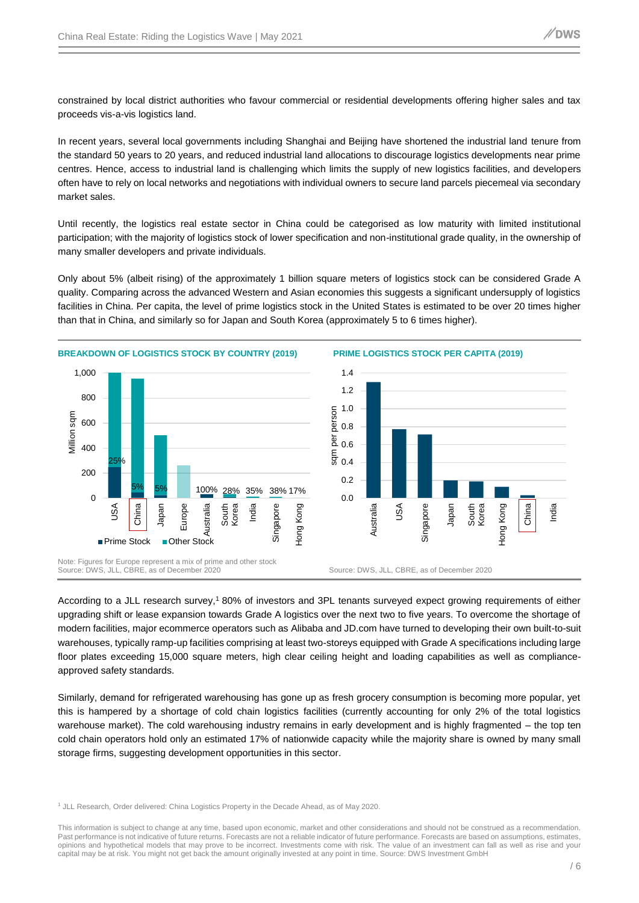constrained by local district authorities who favour commercial or residential developments offering higher sales and tax proceeds vis-a-vis logistics land.

In recent years, several local governments including Shanghai and Beijing have shortened the industrial land tenure from the standard 50 years to 20 years, and reduced industrial land allocations to discourage logistics developments near prime centres. Hence, access to industrial land is challenging which limits the supply of new logistics facilities, and developers often have to rely on local networks and negotiations with individual owners to secure land parcels piecemeal via secondary market sales.

Until recently, the logistics real estate sector in China could be categorised as low maturity with limited institutional participation; with the majority of logistics stock of lower specification and non-institutional grade quality, in the ownership of many smaller developers and private individuals.

Only about 5% (albeit rising) of the approximately 1 billion square meters of logistics stock can be considered Grade A quality. Comparing across the advanced Western and Asian economies this suggests a significant undersupply of logistics facilities in China. Per capita, the level of prime logistics stock in the United States is estimated to be over 20 times higher than that in China, and similarly so for Japan and South Korea (approximately 5 to 6 times higher).



According to a JLL research survey,<sup>1</sup> 80% of investors and 3PL tenants surveyed expect growing requirements of either upgrading shift or lease expansion towards Grade A logistics over the next two to five years. To overcome the shortage of modern facilities, major ecommerce operators such as Alibaba and JD.com have turned to developing their own built-to-suit warehouses, typically ramp-up facilities comprising at least two-storeys equipped with Grade A specifications including large floor plates exceeding 15,000 square meters, high clear ceiling height and loading capabilities as well as complianceapproved safety standards.

Similarly, demand for refrigerated warehousing has gone up as fresh grocery consumption is becoming more popular, yet this is hampered by a shortage of cold chain logistics facilities (currently accounting for only 2% of the total logistics warehouse market). The cold warehousing industry remains in early development and is highly fragmented – the top ten cold chain operators hold only an estimated 17% of nationwide capacity while the majority share is owned by many small storage firms, suggesting development opportunities in this sector.

<sup>&</sup>lt;sup>1</sup> JLL Research, Order delivered: China Logistics Property in the Decade Ahead, as of May 2020.

This information is subject to change at any time, based upon economic, market and other considerations and should not be construed as a recommendation. Past performance is not indicative of future returns. Forecasts are not a reliable indicator of future performance. Forecasts are based on assumptions, estimates, opinions and hypothetical models that may prove to be incorrect. Investments come with risk. The value of an investment can fall as well as rise and your capital may be at risk. You might not get back the amount originally invested at any point in time. Source: DWS Investment GmbH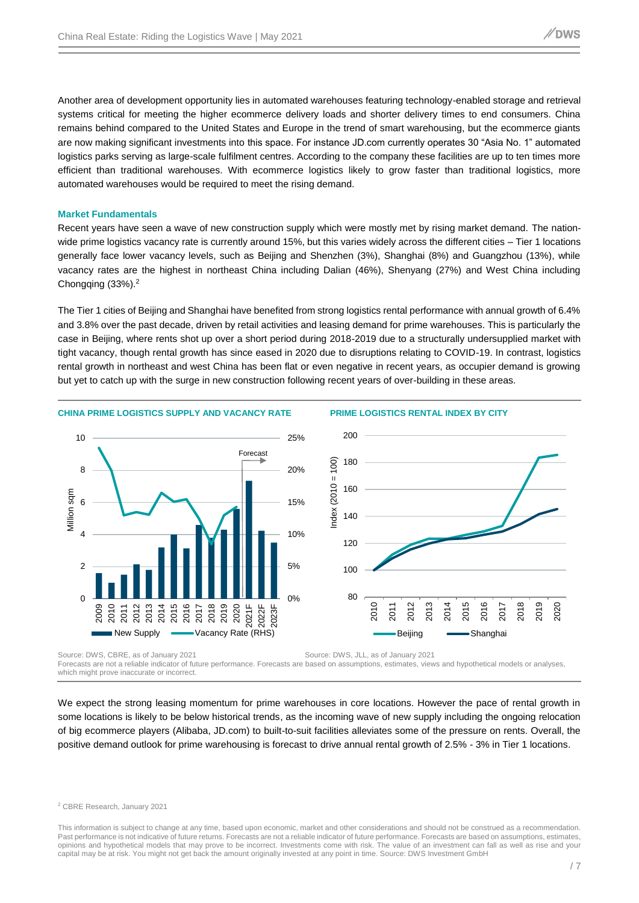Another area of development opportunity lies in automated warehouses featuring technology-enabled storage and retrieval systems critical for meeting the higher ecommerce delivery loads and shorter delivery times to end consumers. China remains behind compared to the United States and Europe in the trend of smart warehousing, but the ecommerce giants are now making significant investments into this space. For instance JD.com currently operates 30 "Asia No. 1" automated logistics parks serving as large-scale fulfilment centres. According to the company these facilities are up to ten times more efficient than traditional warehouses. With ecommerce logistics likely to grow faster than traditional logistics, more automated warehouses would be required to meet the rising demand.

#### **Market Fundamentals**

Recent years have seen a wave of new construction supply which were mostly met by rising market demand. The nationwide prime logistics vacancy rate is currently around 15%, but this varies widely across the different cities – Tier 1 locations generally face lower vacancy levels, such as Beijing and Shenzhen (3%), Shanghai (8%) and Guangzhou (13%), while vacancy rates are the highest in northeast China including Dalian (46%), Shenyang (27%) and West China including Chongqing (33%).<sup>2</sup>

The Tier 1 cities of Beijing and Shanghai have benefited from strong logistics rental performance with annual growth of 6.4% and 3.8% over the past decade, driven by retail activities and leasing demand for prime warehouses. This is particularly the case in Beijing, where rents shot up over a short period during 2018-2019 due to a structurally undersupplied market with tight vacancy, though rental growth has since eased in 2020 due to disruptions relating to COVID-19. In contrast, logistics rental growth in northeast and west China has been flat or even negative in recent years, as occupier demand is growing but yet to catch up with the surge in new construction following recent years of over-building in these areas.



Source: DWS, CBRE, as of January 2021 Source: DWS, JLL, as of January 2021 Forecasts are not a reliable indicator of future performance. Forecasts are based on assumptions, estimates, views and hypothetical models or analyses, which might prove inaccurate or incorrect.

We expect the strong leasing momentum for prime warehouses in core locations. However the pace of rental growth in some locations is likely to be below historical trends, as the incoming wave of new supply including the ongoing relocation of big ecommerce players (Alibaba, JD.com) to built-to-suit facilities alleviates some of the pressure on rents. Overall, the positive demand outlook for prime warehousing is forecast to drive annual rental growth of 2.5% - 3% in Tier 1 locations.

<sup>2</sup> CBRE Research, January 2021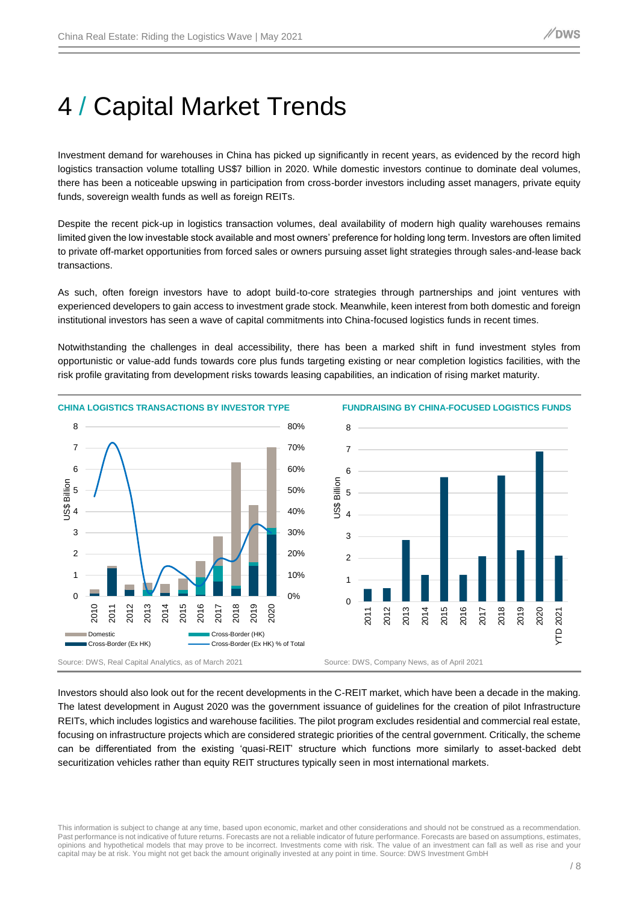# 4 / Capital Market Trends

Investment demand for warehouses in China has picked up significantly in recent years, as evidenced by the record high logistics transaction volume totalling US\$7 billion in 2020. While domestic investors continue to dominate deal volumes, there has been a noticeable upswing in participation from cross-border investors including asset managers, private equity funds, sovereign wealth funds as well as foreign REITs.

Despite the recent pick-up in logistics transaction volumes, deal availability of modern high quality warehouses remains limited given the low investable stock available and most owners' preference for holding long term. Investors are often limited to private off-market opportunities from forced sales or owners pursuing asset light strategies through sales-and-lease back transactions.

As such, often foreign investors have to adopt build-to-core strategies through partnerships and joint ventures with experienced developers to gain access to investment grade stock. Meanwhile, keen interest from both domestic and foreign institutional investors has seen a wave of capital commitments into China-focused logistics funds in recent times.

Notwithstanding the challenges in deal accessibility, there has been a marked shift in fund investment styles from opportunistic or value-add funds towards core plus funds targeting existing or near completion logistics facilities, with the risk profile gravitating from development risks towards leasing capabilities, an indication of rising market maturity.



Investors should also look out for the recent developments in the C-REIT market, which have been a decade in the making. The latest development in August 2020 was the government issuance of guidelines for the creation of pilot Infrastructure REITs, which includes logistics and warehouse facilities. The pilot program excludes residential and commercial real estate, focusing on infrastructure projects which are considered strategic priorities of the central government. Critically, the scheme can be differentiated from the existing 'quasi-REIT' structure which functions more similarly to asset-backed debt securitization vehicles rather than equity REIT structures typically seen in most international markets.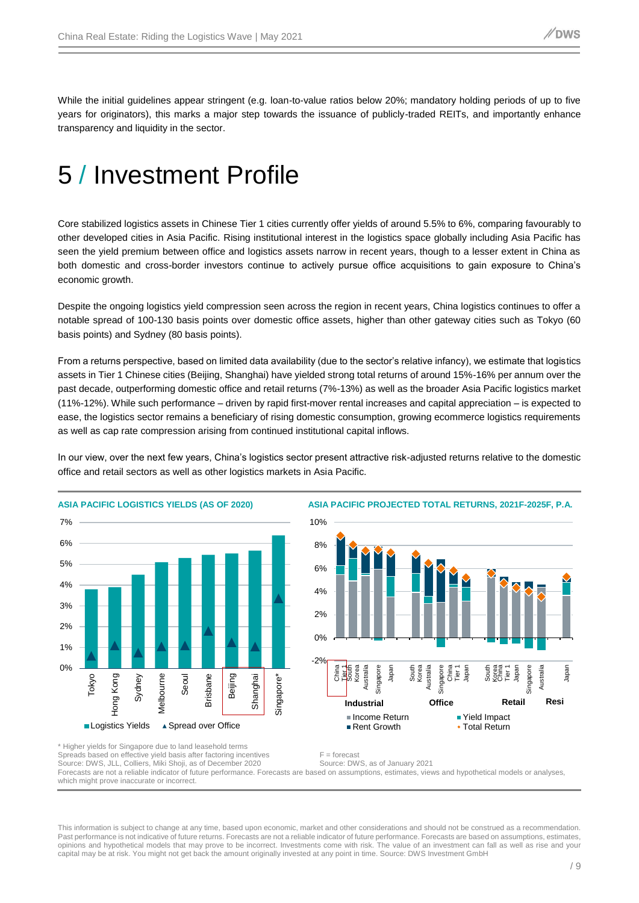While the initial guidelines appear stringent (e.g. loan-to-value ratios below 20%; mandatory holding periods of up to five years for originators), this marks a major step towards the issuance of publicly-traded REITs, and importantly enhance transparency and liquidity in the sector.

### 5 / Investment Profile

Core stabilized logistics assets in Chinese Tier 1 cities currently offer yields of around 5.5% to 6%, comparing favourably to other developed cities in Asia Pacific. Rising institutional interest in the logistics space globally including Asia Pacific has seen the yield premium between office and logistics assets narrow in recent years, though to a lesser extent in China as both domestic and cross-border investors continue to actively pursue office acquisitions to gain exposure to China's economic growth.

Despite the ongoing logistics yield compression seen across the region in recent years, China logistics continues to offer a notable spread of 100-130 basis points over domestic office assets, higher than other gateway cities such as Tokyo (60 basis points) and Sydney (80 basis points).

From a returns perspective, based on limited data availability (due to the sector's relative infancy), we estimate that logistics assets in Tier 1 Chinese cities (Beijing, Shanghai) have yielded strong total returns of around 15%-16% per annum over the past decade, outperforming domestic office and retail returns (7%-13%) as well as the broader Asia Pacific logistics market (11%-12%). While such performance – driven by rapid first-mover rental increases and capital appreciation – is expected to ease, the logistics sector remains a beneficiary of rising domestic consumption, growing ecommerce logistics requirements as well as cap rate compression arising from continued institutional capital inflows.

In our view, over the next few years, China's logistics sector present attractive risk-adjusted returns relative to the domestic office and retail sectors as well as other logistics markets in Asia Pacific.





Spreads based on effective yield basis after factoring incentives F = forecast<br>Source: DWS, JLL, Colliers, Miki Shoji, as of December 2020 Source: DWS, as of January 2021 Source: DWS, JLL, Colliers, Miki Shoji, as of December 2020 Forecasts are not a reliable indicator of future performance. Forecasts are based on assumptions, estimates, views and hypothetical models or analyses, which might prove inaccurate or incorrect.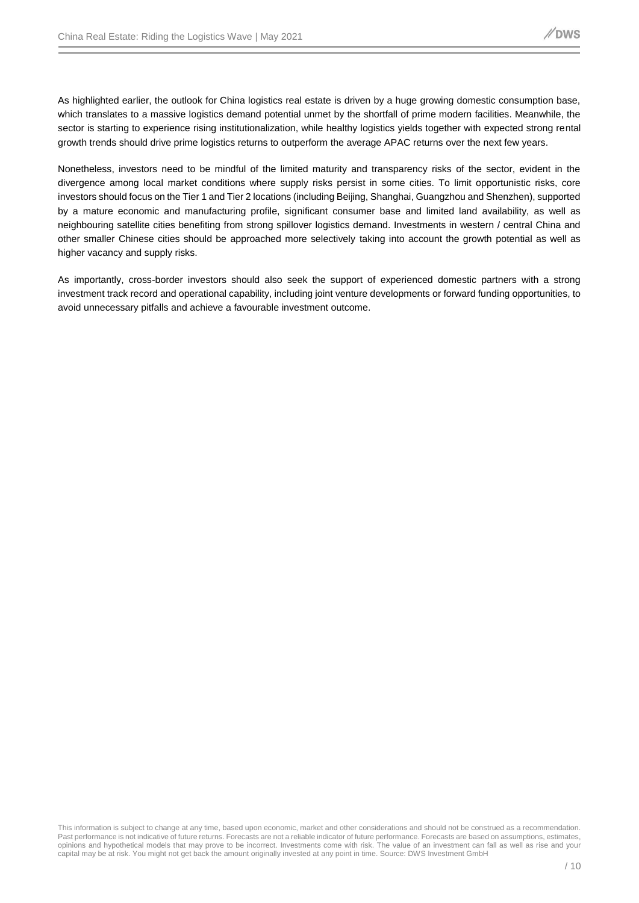As highlighted earlier, the outlook for China logistics real estate is driven by a huge growing domestic consumption base, which translates to a massive logistics demand potential unmet by the shortfall of prime modern facilities. Meanwhile, the sector is starting to experience rising institutionalization, while healthy logistics yields together with expected strong rental growth trends should drive prime logistics returns to outperform the average APAC returns over the next few years.

Nonetheless, investors need to be mindful of the limited maturity and transparency risks of the sector, evident in the divergence among local market conditions where supply risks persist in some cities. To limit opportunistic risks, core investors should focus on the Tier 1 and Tier 2 locations (including Beijing, Shanghai, Guangzhou and Shenzhen), supported by a mature economic and manufacturing profile, significant consumer base and limited land availability, as well as neighbouring satellite cities benefiting from strong spillover logistics demand. Investments in western / central China and other smaller Chinese cities should be approached more selectively taking into account the growth potential as well as higher vacancy and supply risks.

As importantly, cross-border investors should also seek the support of experienced domestic partners with a strong investment track record and operational capability, including joint venture developments or forward funding opportunities, to avoid unnecessary pitfalls and achieve a favourable investment outcome.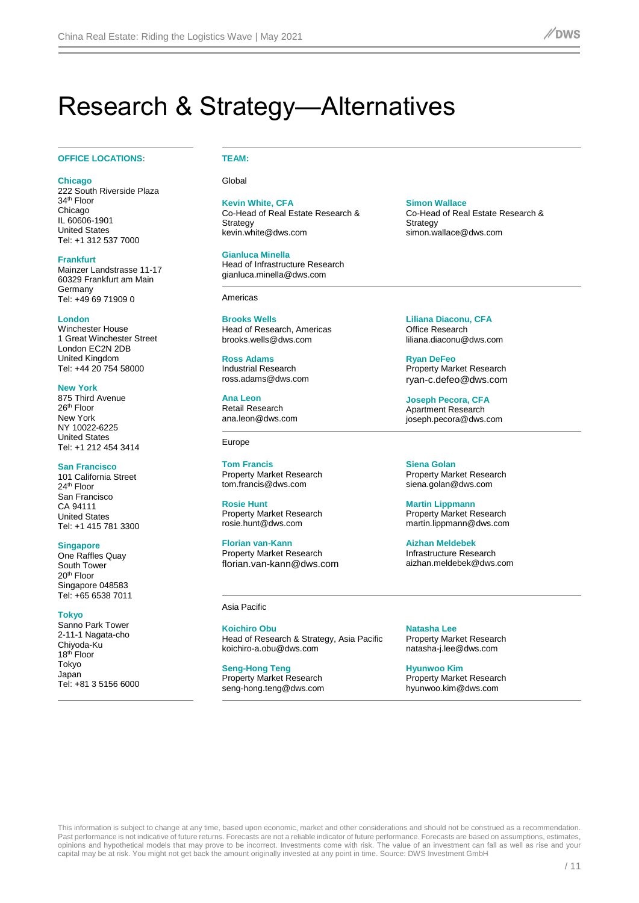### Research & Strategy—Alternatives

#### **OFFICE LOCATIONS: TEAM:**

**Chicago** 222 South Riverside Plaza 34<sup>th</sup> Floor Chicago IL 60606-1901 United States Tel: +1 312 537 7000

**Frankfurt** Mainzer Landstrasse 11-17 60329 Frankfurt am Main Germany Tel: +49 69 71909 0

**London** Winchester House 1 Great Winchester Street London EC2N 2DB United Kingdom Tel: +44 20 754 58000

**New York** 875 Third Avenue  $26<sup>th</sup>$  Floor New York NY 10022-6225 United States Tel: +1 212 454 3414

**San Francisco** 101 California Street 24th Floor San Francisco CA 94111 United States Tel: +1 415 781 3300

**Singapore** One Raffles Quay

South Tower 20<sup>th</sup> Floor Singapore 048583 Tel: +65 6538 7011

**Tokyo** 

Sanno Park Tower 2-11-1 Nagata-cho Chiyoda-Ku  $18<sup>th</sup>$  Floor Tokyo Japan Tel: +81 3 5156 6000

Global

**Kevin White, CFA**

Co-Head of Real Estate Research & **Strategy** kevin.white@dws.com

**Gianluca Minella**

Head of Infrastructure Research gianluca.minella@dws.com

Americas

**Brooks Wells** Head of Research, Americas brooks.wells@dws.com

**Ross Adams** Industrial Research ross.adams@dws.com

**Ana Leon** Retail Research ana.leon@dws.com

Europe

**Tom Francis** Property Market Research tom.francis@dws.com

**Rosie Hunt** Property Market Research rosie.hunt@dws.com

**Florian van-Kann** Property Market Research florian.van-kann@dws.com

Asia Pacific

**Koichiro Obu** Head of Research & Strategy, Asia Pacific [koichiro-a.obu@dws.com](mailto:koichiro-a.obu@dws.com)

**Seng-Hong Teng** Property Market Research seng-hong.teng@dws.com **Simon Wallace**

Co-Head of Real Estate Research & **Strategy** simon.wallace@dws.com

**Liliana Diaconu, CFA** Office Research liliana.diaconu@dws.com

**Ryan DeFeo** Property Market Research [ryan-c.defeo@dws.com](mailto:ryan-c.defeo@dws.com)

**Joseph Pecora, CFA** Apartment Research joseph.pecora@dws.com

**Siena Golan** Property Market Research siena.golan@dws.com

**Martin Lippmann** Property Market Research martin.lippmann@dws.com

**Aizhan Meldebek**  Infrastructure Research aizhan.meldebek@dws.com

**Natasha Lee** Property Market Research natasha-j.lee@dws.com

**Hyunwoo Kim** Property Market Research hyunwoo.kim@dws.com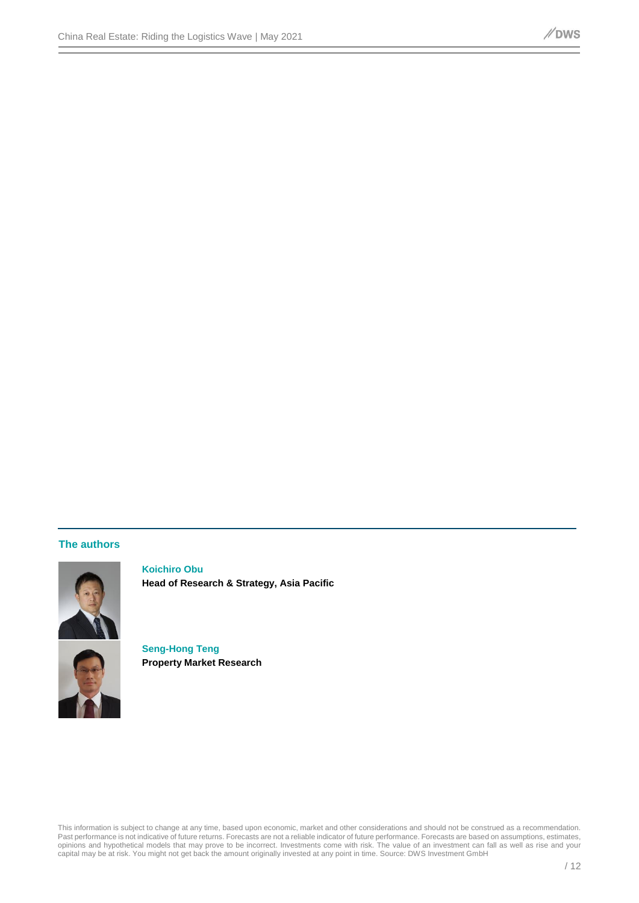### **The authors**



**Koichiro Obu Head of Research & Strategy, Asia Pacific**

**Seng-Hong Teng Property Market Research**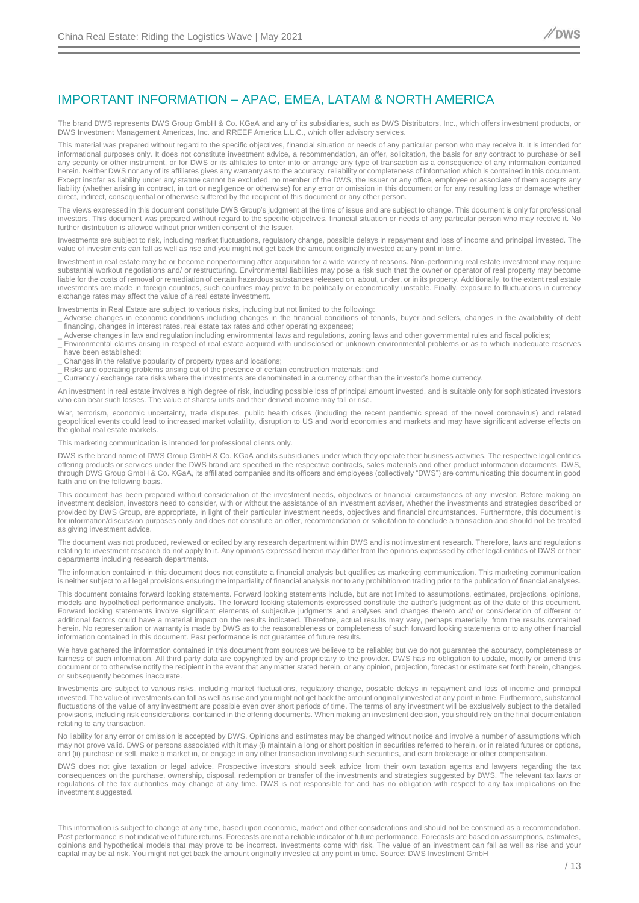### IMPORTANT INFORMATION – APAC, EMEA, LATAM & NORTH AMERICA

The brand DWS represents DWS Group GmbH & Co. KGaA and any of its subsidiaries, such as DWS Distributors, Inc., which offers investment products, or DWS Investment Management Americas, Inc. and RREEF America L.L.C., which offer advisory services.

This material was prepared without regard to the specific objectives, financial situation or needs of any particular person who may receive it. It is intended for informational purposes only. It does not constitute investment advice, a recommendation, an offer, solicitation, the basis for any contract to purchase or sell any security or other instrument, or for DWS or its affiliates to enter into or arrange any type of transaction as a consequence of any information contained herein. Neither DWS nor any of its affiliates gives any warranty as to the accuracy, reliability or completeness of information which is contained in this document. Except insofar as liability under any statute cannot be excluded, no member of the DWS, the Issuer or any office, employee or associate of them accepts any liability (whether arising in contract, in tort or negligence or otherwise) for any error or omission in this document or for any resulting loss or damage whether direct, indirect, consequential or otherwise suffered by the recipient of this document or any other person.

The views expressed in this document constitute DWS Group's judgment at the time of issue and are subject to change. This document is only for professional investors. This document was prepared without regard to the specific objectives, financial situation or needs of any particular person who may receive it. No further distribution is allowed without prior written consent of the Issuer.

Investments are subject to risk, including market fluctuations, regulatory change, possible delays in repayment and loss of income and principal invested. The value of investments can fall as well as rise and you might not get back the amount originally invested at any point in time.

Investment in real estate may be or become nonperforming after acquisition for a wide variety of reasons. Non-performing real estate investment may require substantial workout negotiations and/ or restructuring. Environmental liabilities may pose a risk such that the owner or operator of real property may become liable for the costs of removal or remediation of certain hazardous substances released on, about, under, or in its property. Additionally, to the extent real estate investments are made in foreign countries, such countries may prove to be politically or economically unstable. Finally, exposure to fluctuations in currency exchange rates may affect the value of a real estate investment.

Investments in Real Estate are subject to various risks, including but not limited to the following:

- Adverse changes in economic conditions including changes in the financial conditions of tenants, buyer and sellers, changes in the availability of debt financing, changes in interest rates, real estate tax rates and other operating expenses;
- Adverse changes in law and regulation including environmental laws and regulations, zoning laws and other governmental rules and fiscal policies;
- \_ Environmental claims arising in respect of real estate acquired with undisclosed or unknown environmental problems or as to which inadequate reserves have been established;
- Changes in the relative popularity of property types and locations;
- Risks and operating problems arising out of the presence of certain construction materials; and
- Currency / exchange rate risks where the investments are denominated in a currency other than the investor's home currency.

An investment in real estate involves a high degree of risk, including possible loss of principal amount invested, and is suitable only for sophisticated investors who can bear such losses. The value of shares/ units and their derived income may fall or rise.

War, terrorism, economic uncertainty, trade disputes, public health crises (including the recent pandemic spread of the novel coronavirus) and related geopolitical events could lead to increased market volatility, disruption to US and world economies and markets and may have significant adverse effects on the global real estate markets.

This marketing communication is intended for professional clients only.

DWS is the brand name of DWS Group GmbH & Co. KGaA and its subsidiaries under which they operate their business activities. The respective legal entities offering products or services under the DWS brand are specified in the respective contracts, sales materials and other product information documents. DWS, through DWS Group GmbH & Co. KGaA, its affiliated companies and its officers and employees (collectively "DWS") are communicating this document in good faith and on the following basis.

This document has been prepared without consideration of the investment needs, objectives or financial circumstances of any investor. Before making an investment decision, investors need to consider, with or without the assistance of an investment adviser, whether the investments and strategies described or provided by DWS Group, are appropriate, in light of their particular investment needs, objectives and financial circumstances. Furthermore, this document is for information/discussion purposes only and does not constitute an offer, recommendation or solicitation to conclude a transaction and should not be treated as giving investment advice.

The document was not produced, reviewed or edited by any research department within DWS and is not investment research. Therefore, laws and regulations relating to investment research do not apply to it. Any opinions expressed herein may differ from the opinions expressed by other legal entities of DWS or their departments including research departments.

The information contained in this document does not constitute a financial analysis but qualifies as marketing communication. This marketing communication is neither subject to all legal provisions ensuring the impartiality of financial analysis nor to any prohibition on trading prior to the publication of financial analyses.

This document contains forward looking statements. Forward looking statements include, but are not limited to assumptions, estimates, projections, opinions, models and hypothetical performance analysis. The forward looking statements expressed constitute the author's judgment as of the date of this document. Forward looking statements involve significant elements of subjective judgments and analyses and changes thereto and/ or consideration of different or additional factors could have a material impact on the results indicated. Therefore, actual results may vary, perhaps materially, from the results contained herein. No representation or warranty is made by DWS as to the reasonableness or completeness of such forward looking statements or to any other financial information contained in this document. Past performance is not guarantee of future results.

We have gathered the information contained in this document from sources we believe to be reliable; but we do not guarantee the accuracy, completeness or fairness of such information. All third party data are copyrighted by and proprietary to the provider. DWS has no obligation to update, modify or amend this document or to otherwise notify the recipient in the event that any matter stated herein, or any opinion, projection, forecast or estimate set forth herein, changes or subsequently becomes inaccurate.

Investments are subject to various risks, including market fluctuations, regulatory change, possible delays in repayment and loss of income and principal invested. The value of investments can fall as well as rise and you might not get back the amount originally invested at any point in time. Furthermore, substantial fluctuations of the value of any investment are possible even over short periods of time. The terms of any investment will be exclusively subject to the detailed provisions, including risk considerations, contained in the offering documents. When making an investment decision, you should rely on the final documentation relating to any transaction.

No liability for any error or omission is accepted by DWS. Opinions and estimates may be changed without notice and involve a number of assumptions which may not prove valid. DWS or persons associated with it may (i) maintain a long or short position in securities referred to herein, or in related futures or options, and (ii) purchase or sell, make a market in, or engage in any other transaction involving such securities, and earn brokerage or other compensation.

DWS does not give taxation or legal advice. Prospective investors should seek advice from their own taxation agents and lawyers regarding the tax consequences on the purchase, ownership, disposal, redemption or transfer of the investments and strategies suggested by DWS. The relevant tax laws or regulations of the tax authorities may change at any time. DWS is not responsible for and has no obligation with respect to any tax implications on the investment suggested.